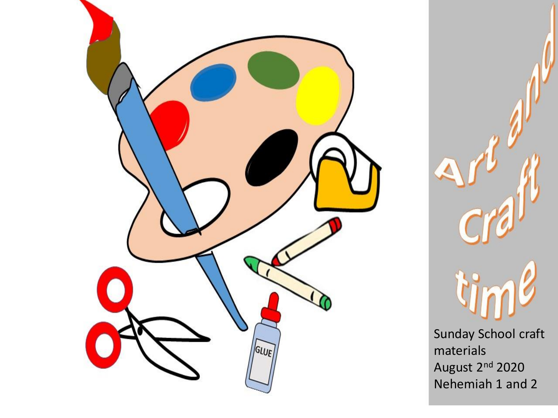



Sunday School craft materials August 2<sup>nd</sup> 2020 Nehemiah 1 and 2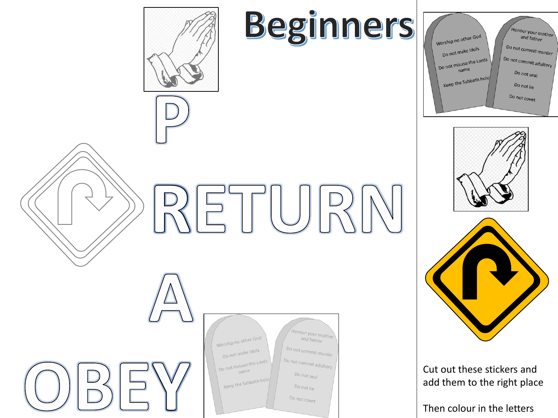

## Beginners







Cut out these stickers and add them to the right place

Then colour in the letters





| Worship no other God<br>Do not make Idols<br>Do not misuse the Lords<br>name<br>Keep the Sabbath holy | Honour your mother<br>and father<br>Do not commit murder<br>Do not commit adultery<br>Do not seal<br>Do not lie<br>Do not covet |
|-------------------------------------------------------------------------------------------------------|---------------------------------------------------------------------------------------------------------------------------------|
|                                                                                                       |                                                                                                                                 |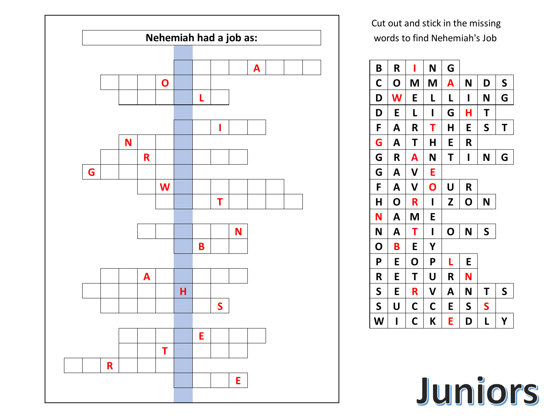

Cut out and stick in the missing words to find Nehemiah's Job



Juniors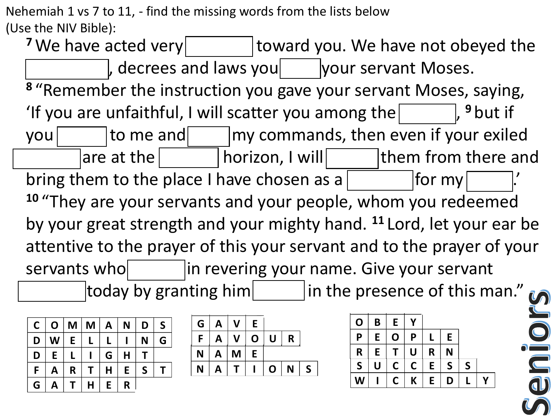Nehemiah 1 vs 7 to 11, - find the missing words from the lists below (Use the NIV Bible):

<sup>7</sup> We have acted very **wicker witch value value of the very** very let understand very let us and the very let u , decrees and laws you  $|$  your servant Moses. **<sup>8</sup>** "Remember the instruction you gave your servant Moses, saying, 'If you are unfaithful, I will scatter you among the  $\Box$ , <sup>9</sup> but if you return to me and obey my commands, then even if your exiled **B R I N G** are at the  $\vert$  horizon, I will gather them from them from them from them from them from them from them from the and the and the and the and the and the and the and the and the and the and the and the and the and the and bring them to the place I have chosen as a  $\vert$ **<sup>10</sup>** "They are your servants and your people, whom you redeemed by your great strength and your mighty hand. **<sup>11</sup>** Lord, let your ear be attentive to the prayer of this your servant and to the prayer of your servants who  $\frac{1}{\sqrt{2\pi}}$  in revering your name. Give your servant today by granting him in the presence of this man."  $\overline{AB}$   $\overline{BA}$   $\overline{BA}$ **E**  $\frac{1}{2}$  **C**  $\frac{1}{2}$  **C**  $\frac{1}{2}$  **C**  $\frac{1}{2}$  **C**  $\frac{1}{2}$  **C**  $\frac{1}{2}$  **C**  $\frac{1}{2}$  **C**  $\frac{1}{2}$  **C**  $\frac{1}{2}$  **C**  $\frac{1}{2}$  **C**  $\frac{1}{2}$  **C**  $\frac{1}{2}$  **C**  $\frac{1}{2}$  **C**  $\frac{1}{2}$  **C**  $\frac{1}{2}$  **C**  $\frac{1}{2}$ **D W E L L I N G**  $\Omega$  rayaring your  $\theta$ **E**  $\frac{1}{2}$  **F**  $\frac{1}{2}$  **E**  $\frac{1}{2}$  **E**  $\frac{1}{2}$  $\mathsf{H}\mathsf{B} \mathsf{B} \mathsf{B} \mathsf{B} \mathsf{B} \mathsf{B}$ **D** Ithem from the  $\frac{1}{\sqrt{2}}$ **d**  $\begin{bmatrix} 0 & 0 & 0 & 0 \\ 0 & 0 & 0 & 0 \\ 0 & 0 & 0 & 0 \\ 0 & 0 & 0 & 0 \\ 0 & 0 & 0 & 0 \\ 0 & 0 & 0 & 0 \\ 0 & 0 & 0 & 0 \\ 0 & 0 & 0 & 0 \\ 0 & 0 & 0 & 0 \\ 0 & 0 & 0 & 0 \\ 0 & 0 & 0 & 0 & 0 \\ 0 & 0 & 0 & 0 & 0 \\ 0 & 0 & 0 & 0 & 0 \\ 0 & 0 & 0 & 0 & 0 & 0 \\ 0 & 0 & 0 & 0 & 0 & 0 \\ 0 & 0 & 0 &$ **M**  $\alpha$  **D**  $\alpha$  **D**  $\alpha$  **C**  $\alpha$  **C**  $\alpha$  **C**  $\alpha$  **C**  $\alpha$  **C**  $\alpha$  **C**  $\alpha$  **C**  $\alpha$ **G A T H E R G R A N T I N G ha to th F A V O U R H O R I Z O N n** resenci **B** and yo **C O M M A N D S D W E L L I N G D** UNIS YOUR SEE  $F \sim \text{F} \cdot \text{F} \cdot \text{F} \cdot \text{F} \cdot \text{F} \cdot \text{F} \cdot \text{F} \cdot \text{F} \cdot \text{F} \cdot \text{F} \cdot \text{F} \cdot \text{F} \cdot \text{F} \cdot \text{F} \cdot \text{F} \cdot \text{F} \cdot \text{F} \cdot \text{F} \cdot \text{F} \cdot \text{F} \cdot \text{F} \cdot \text{F} \cdot \text{F} \cdot \text{F} \cdot \text{F} \cdot \text{F} \cdot \text{F} \cdot \text{F} \cdot \text{F} \cdot \text{F} \cdot \text{F} \cdot$ **H**  $\frac{6}{1}$ **G R A N T I N G B R I N G C C C C C C C C C F H E H E H E H E H E H E H E H E H E H E H E H E Whom you re G R A N T I N G**  $\boldsymbol{\mu}$  **L** Ind to the pra  $\int$   $\frac{1}{2}$   $\int$   $\frac{1}{2}$   $\int$   $\frac{1}{2}$   $\int$   $\frac{1}{2}$   $\int$   $\frac{1}{2}$   $\int$   $\frac{1}{2}$   $\int$   $\frac{1}{2}$   $\int$   $\frac{1}{2}$   $\int$   $\frac{1}{2}$   $\int$   $\frac{1}{2}$   $\int$   $\frac{1}{2}$   $\int$   $\frac{1}{2}$   $\int$   $\frac{1}{2}$   $\int$   $\frac{1}{2}$   $\int$   $\frac{1}{2$ **N**  $\overline{y}$ **presence of this** 

| $\mathsf{C}$ | $\overline{O}$ | M <sub>1</sub> | $M \mid$ | A  | N | D | S |
|--------------|----------------|----------------|----------|----|---|---|---|
| D            | W              | E              |          | L  |   | N | G |
| D            | E              | $\mathsf{L}$   |          | G  | H | T |   |
| F            | A              | $\mathsf{R}$   | T        | H  | E | S |   |
| G            | Α              |                | Η        | E. | R |   |   |

|    |              | G   A   V   E |   |              |             |              |
|----|--------------|---------------|---|--------------|-------------|--------------|
| F  | $\mathbf{A}$ | $\mathsf{V}$  |   | O U          | $\mathbf R$ |              |
| N. | $\mathsf{A}$ | M             | E |              |             |              |
| N  | A            |               |   | $\mathsf{O}$ | N           | $\mathsf{S}$ |

| 0            | B | E           | γ |   |              |              |  |
|--------------|---|-------------|---|---|--------------|--------------|--|
| Ρ            | E | $\mathbf 0$ | P |   | E            |              |  |
| R            | E |             | U | R | N            |              |  |
| $\mathsf{S}$ | U | Ċ           | Ć | E | $\mathsf{S}$ | $\mathsf{S}$ |  |
|              |   | C           | K | E | D            |              |  |